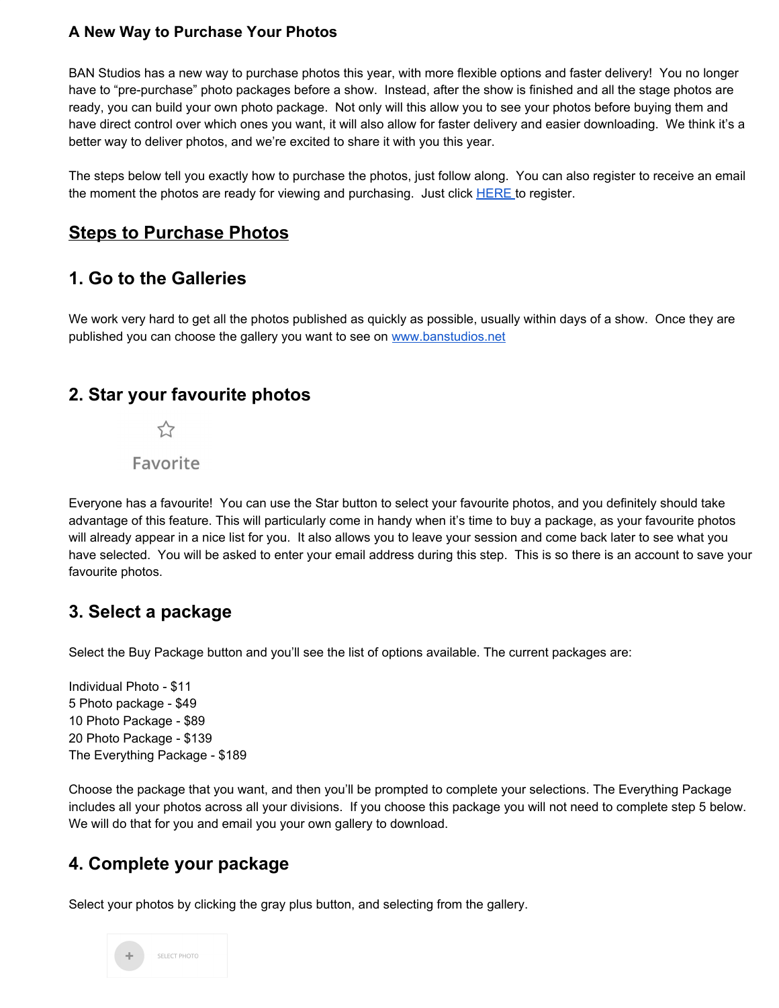#### **A New Way to Purchase Your Photos**

BAN Studios has a new way to purchase photos this year, with more flexible options and faster delivery! You no longer have to "pre-purchase" photo packages before a show. Instead, after the show is finished and all the stage photos are ready, you can build your own photo package. Not only will this allow you to see your photos before buying them and have direct control over which ones you want, it will also allow for faster delivery and easier downloading. We think it's a better way to deliver photos, and we're excited to share it with you this year.

The steps below tell you exactly how to purchase the photos, just follow along. You can also register to receive an email the moment the photos are ready for viewing and purchasing. Just click [HERE](https://nolanwhitephotography.shootproof.com/gallery/melbournechampionships2020/) to register.

### **Steps to Purchase Photos**

#### **1. Go to the Galleries**

We work very hard to get all the photos published as quickly as possible, usually within days of a show. Once they are published you can choose the gallery you want to see on [www.banstudios.net](http://www.banstudios.net/)

#### **2. Star your favourite photos**

 $\overline{\mathcal{L}}$ 

Favorite

Everyone has a favourite! You can use the Star button to select your favourite photos, and you definitely should take advantage of this feature. This will particularly come in handy when it's time to buy a package, as your favourite photos will already appear in a nice list for you. It also allows you to leave your session and come back later to see what you have selected. You will be asked to enter your email address during this step. This is so there is an account to save your favourite photos.

### **3. Select a package**

Select the Buy Package button and you'll see the list of options available. The current packages are:

Individual Photo - \$11 5 Photo package - \$49 10 Photo Package - \$89 20 Photo Package - \$139 The Everything Package - \$189

Choose the package that you want, and then you'll be prompted to complete your selections. The Everything Package includes all your photos across all your divisions. If you choose this package you will not need to complete step 5 below. We will do that for you and email you your own gallery to download.

## **4. Complete your package**

Select your photos by clicking the gray plus button, and selecting from the gallery.